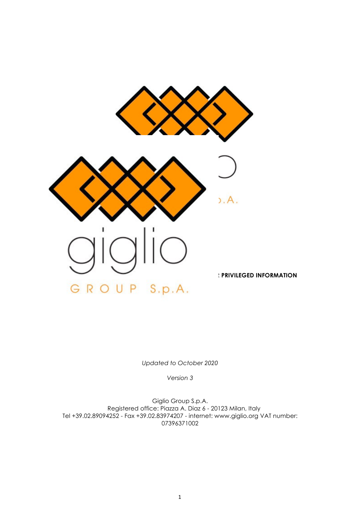

*Updated to October 2020*

*Version 3*

Giglio Group S.p.A. Registered office: Piazza A. Diaz 6 - 20123 Milan, Italy Tel +39.02.89094252 - Fax +39.02.83974207 - internet: www.giglio.org VAT number: 07396371002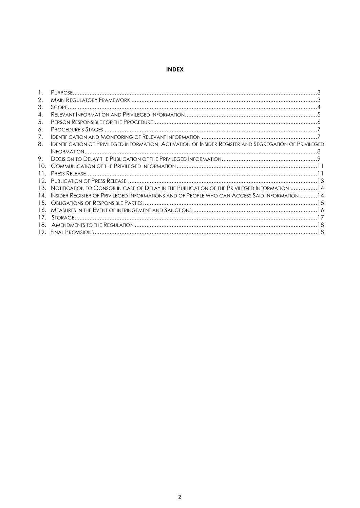# **INDEX**

| 2.  |                                                                                                               |  |
|-----|---------------------------------------------------------------------------------------------------------------|--|
| 3.  |                                                                                                               |  |
| 4.  |                                                                                                               |  |
| 5.  |                                                                                                               |  |
| 6.  |                                                                                                               |  |
| 7.  |                                                                                                               |  |
| 8.  | <b>IDENTIFICATION OF PRIVILEGED INFORMATION, ACTIVATION OF INSIDER REGISTER AND SEGREGATION OF PRIVILEGED</b> |  |
|     |                                                                                                               |  |
| 9.  |                                                                                                               |  |
| 10. |                                                                                                               |  |
| 11. |                                                                                                               |  |
| 12. |                                                                                                               |  |
| 13. | NOTIFICATION TO CONSOB IN CASE OF DELAY IN THE PUBLICATION OF THE PRIVILEGED INFORMATION 14                   |  |
| 14. | INSIDER REGISTER OF PRIVILEGED INFORMATIONS AND OF PEOPLE WHO CAN ACCESS SAID INFORMATION 14                  |  |
|     |                                                                                                               |  |
| 16. |                                                                                                               |  |
| 17  |                                                                                                               |  |
| 18. |                                                                                                               |  |
|     |                                                                                                               |  |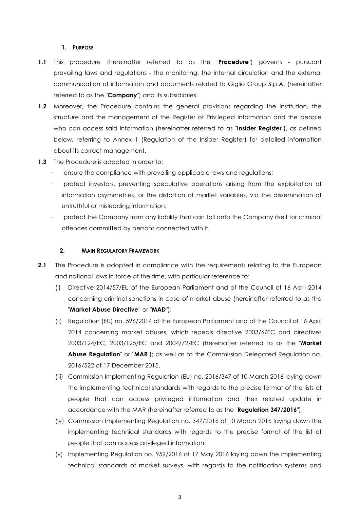#### **1. PURPOSE**

- **1.1** This procedure (hereinafter referred to as the "**Procedure**") governs pursuant prevailing laws and regulations - the monitoring, the internal circulation and the external communication of information and documents related to Giglio Group S.p.A. (hereinafter referred to as the "**Company**") and its subsidiaries.
- **1.2** Moreover, the Procedure contains the general provisions regarding the institution, the structure and the management of the Register of Privileged Information and the people who can access said information (hereinafter referred to as "**Insider Register**"), as defined below, referring to Annex 1 (Regulation of the Insider Register) for detailed information about its correct management.
- **1.3** The Procedure is adopted in order to:
	- ensure the compliance with prevailing applicable laws and regulations;
	- protect investors, preventing speculative operations arising from the exploitation of information asymmetries, or the distortion of market variables, via the dissemination of untruthful or misleading information;
	- − protect the Company from any liability that can fall onto the Company itself for criminal offences committed by persons connected with it.

#### **2. MAIN REGULATORY FRAMEWORK**

- **2.1** The Procedure is adopted in compliance with the requirements relating to the European and national laws in force at the time, with particular reference to:
	- (i) Directive 2014/57/EU of the European Parliament and of the Council of 16 April 2014 concerning criminal sanctions in case of market abuse (hereinafter referred to as the "**Market Abuse Directive**" or "**MAD**");
	- (ii) Regulation (EU) no. 596/2014 of the European Parliament and of the Council of 16 April 2014 concerning market abuses, which repeals directive 2003/6/EC and directives 2003/124/EC, 2003/125/EC and 2004/72/EC (hereinafter referred to as the "**Market Abuse Regulation**" or "**MAR**"); as well as to the Commission Delegated Regulation no. 2016/522 of 17 December 2015.
	- (iii) Commission Implementing Regulation (EU) no. 2016/347 of 10 March 2016 laying down the implementing technical standards with regards to the precise format of the lists of people that can access privileged information and their related update in accordance with the MAR (hereinafter referred to as the "**Regulation 347/2016**");
	- (iv) Commission Implementing Regulation no. 347/2016 of 10 March 2016 laying down the implementing technical standards with regards to the precise format of the list of people that can access privileged information;
	- (v) Implementing Regulation no. 959/2016 of 17 May 2016 laying down the implementing technical standards of market surveys, with regards to the notification systems and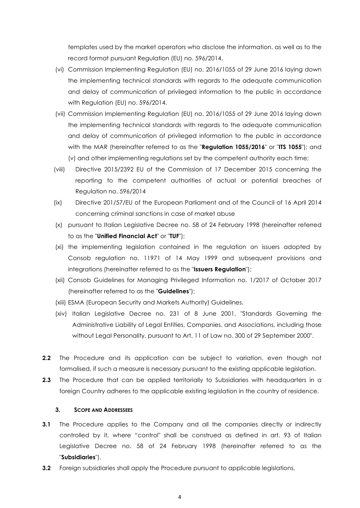templates used by the market operators who disclose the information, as well as to the record format pursuant Regulation (EU) no. 596/2014.

- (vi) Commission Implementing Regulation (EU) no. 2016/1055 of 29 June 2016 laying down the implementing technical standards with regards to the adequate communication and delay of communication of privileged information to the public in accordance with Regulation (EU) no. 596/2014.
- (vii) Commission Implementing Regulation (EU) no. 2016/1055 of 29 June 2016 laying down the implementing technical standards with regards to the adequate communication and delay of communication of privileged information to the public in accordance with the MAR (hereinafter referred to as the "**Regulation 1055/2016**" or "**ITS 1055**"); and (v) and other implementing regulations set by the competent authority each time;
- (viii) Directive 2015/2392 EU of the Commission of 17 December 2015 concerning the reporting to the competent authorities of actual or potential breaches of Regulation no. 596/2014
- (ix) Directive 201/57/EU of the European Parliament and of the Council of 16 April 2014 concerning criminal sanctions in case of market abuse
- (x) pursuant to Italian Legislative Decree no. 58 of 24 February 1998 (hereinafter referred to as the "**Unified Financial Act**" or "**TUF**");
- (xi) the implementing legislation contained in the regulation on issuers adopted by Consob regulation no. 11971 of 14 May 1999 and subsequent provisions and integrations (hereinafter referred to as the "**Issuers Regulation**");
- (xii) Consob Guidelines for Managing Privileged Information no. 1/2017 of October 2017 (hereinafter referred to as the "**Guidelines**");
- (xiii) ESMA (European Security and Markets Authority) Guidelines.
- (xiv) Italian Legislative Decree no. 231 of 8 June 2001, "Standards Governing the Administrative Liability of Legal Entities, Companies, and Associations, including those without Legal Personality, pursuant to Art. 11 of Law no. 300 of 29 September 2000".
- **2.2** The Procedure and its application can be subject to variation, even though not formalised, if such a measure is necessary pursuant to the existing applicable legislation.
- **2.3** The Procedure that can be applied territorially to Subsidiaries with headquarters in a foreign Country adheres to the applicable existing legislation in the country of residence.

#### **3. SCOPE AND ADDRESSEES**

- **3.1** The Procedure applies to the Company and all the companies directly or indirectly controlled by it, where "control" shall be construed as defined in art. 93 of Italian Legislative Decree no. 58 of 24 February 1998 (hereinafter referred to as the "**Subsidiaries**").
- **3.2** Foreign subsidiaries shall apply the Procedure pursuant to applicable legislations.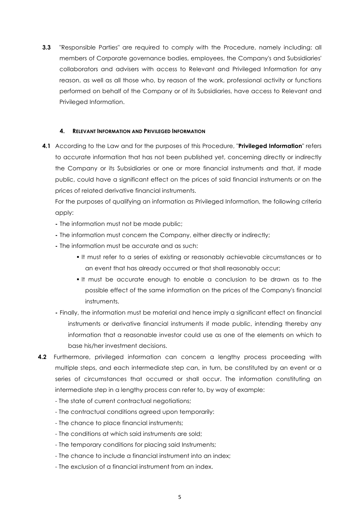**3.3** "Responsible Parties" are required to comply with the Procedure, namely including: all members of Corporate governance bodies, employees, the Company's and Subsidiaries' collaborators and advisers with access to Relevant and Privileged Information for any reason, as well as all those who, by reason of the work, professional activity or functions performed on behalf of the Company or of its Subsidiaries, have access to Relevant and Privileged Information.

## **4. RELEVANT INFORMATION AND PRIVILEGED INFORMATION**

**4.1** According to the Law and for the purposes of this Procedure, "**Privileged Information**" refers to accurate information that has not been published yet, concerning directly or indirectly the Company or its Subsidiaries or one or more financial instruments and that, if made public, could have a significant effect on the prices of said financial instruments or on the prices of related derivative financial instruments.

For the purposes of qualifying an information as Privileged Information, the following criteria apply:

- **-** The information must not be made public;
- **-** The information must concern the Company, either directly or indirectly;
- **-** The information must be accurate and as such:
	- ! It must refer to a series of existing or reasonably achievable circumstances or to an event that has already occurred or that shall reasonably occur;
	- ! It must be accurate enough to enable a conclusion to be drawn as to the possible effect of the same information on the prices of the Company's financial instruments.
- **-** Finally, the information must be material and hence imply a significant effect on financial instruments or derivative financial instruments if made public, intending thereby any information that a reasonable investor could use as one of the elements on which to base his/her investment decisions.
- **4.2** Furthermore, privileged information can concern a lengthy process proceeding with multiple steps, and each intermediate step can, in turn, be constituted by an event or a series of circumstances that occurred or shall occur. The information constituting an intermediate step in a lengthy process can refer to, by way of example:
	- The state of current contractual negotiations;
	- The contractual conditions agreed upon temporarily:
	- The chance to place financial instruments;
	- The conditions at which said instruments are sold;
	- The temporary conditions for placing said Instruments;
	- The chance to include a financial instrument into an index;
	- The exclusion of a financial instrument from an index.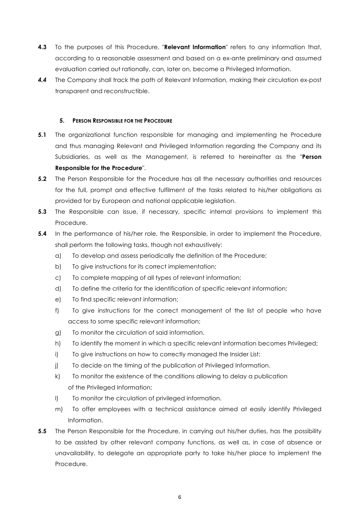- **4.3** To the purposes of this Procedure, "**Relevant Information**" refers to any information that, according to a reasonable assessment and based on a ex-ante preliminary and assumed evaluation carried out rationally, can, later on, become a Privileged Information.
- *4.4* The Company shall track the path of Relevant Information, making their circulation ex-post transparent and reconstructible.

### **5. PERSON RESPONSIBLE FOR THE PROCEDURE**

- **5.1** The organizational function responsible for managing and implementing he Procedure and thus managing Relevant and Privileged Information regarding the Company and its Subsidiaries, as well as the Management, is referred to hereinafter as the "**Person Responsible for the Procedure**".
- **5.2** The Person Responsible for the Procedure has all the necessary authorities and resources for the full, prompt and effective fulfilment of the tasks related to his/her obligations as provided for by European and national applicable legislation.
- **5.3** The Responsible can issue, if necessary, specific internal provisions to implement this Procedure.
- **5.4** In the performance of his/her role, the Responsible, in order to implement the Procedure, shall perform the following tasks, though not exhaustively:
	- a) To develop and assess periodically the definition of the Procedure;
	- b) To give instructions for its correct implementation;
	- c) To complete mapping of all types of relevant information;
	- d) To define the criteria for the identification of specific relevant information;
	- e) To find specific relevant information;
	- f) To give instructions for the correct management of the list of people who have access to some specific relevant information;
	- g) To monitor the circulation of said information.
	- h) To identify the moment in which a specific relevant information becomes Privileged;
	- i) To give instructions on how to correctly managed the Insider List;
	- j) To decide on the timing of the publication of Privileged Information.
	- k) To monitor the existence of the conditions allowing to delay a publication of the Privileged Information;
	- l) To monitor the circulation of privileged information.
	- m) To offer employees with a technical assistance aimed at easily identify Privileged Information.
- **5.5** The Person Responsible for the Procedure, in carrying out his/her duties, has the possibility to be assisted by other relevant company functions, as well as, in case of absence or unavailability, to delegate an appropriate party to take his/her place to implement the Procedure.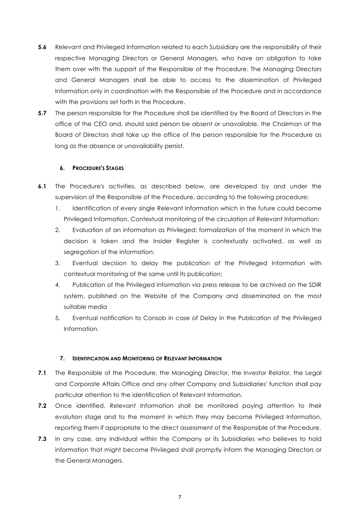- **5.6** Relevant and Privileged Information related to each Subsidiary are the responsibility of their respective Managing Directors or General Managers, who have an obligation to take them over with the support of the Responsible of the Procedure. The Managing Directors and General Managers shall be able to access to the dissemination of Privileged Information only in coordination with the Responsible of the Procedure and in accordance with the provisions set forth in the Procedure.
- **5.7** The person responsible for the Procedure shall be identified by the Board of Directors in the office of the CEO and, should said person be absent or unavailable, the Chairman of the Board of Directors shall take up the office of the person responsible for the Procedure as long as the absence or unavailability persist.

## **6. PROCEDURE'S STAGES**

- **6.1** The Procedure's activities, as described below, are developed by and under the supervision of the Responsible of the Procedure, according to the following procedure:
	- 1. Identification of every single Relevant Information which in the future could become Privileged Information. Contextual monitoring of the circulation of Relevant Information;
	- 2. Evaluation of an information as Privileged: formalization of the moment in which the decision is taken and the Insider Register is contextually activated, as well as segregation of the information;
	- 3. Eventual decision to delay the publication of the Privileged Information with contextual monitoring of the same until its publication;
	- 4. Publication of the Privileged Information via press release to be archived on the SDIR system, published on the Website of the Company and disseminated on the most suitable media
	- 5. Eventual notification to Consob in case of Delay in the Publication of the Privileged Information.

#### **7. IDENTIFICATION AND MONITORING OF RELEVANT INFORMATION**

- **7.1** The Responsible of the Procedure, the Managing Director, the Investor Relator, the Legal and Corporate Affairs Office and any other Company and Subsidiaries' function shall pay particular attention to the identification of Relevant Information.
- **7.2** Once identified, Relevant Information shall be monitored paying attention to their evolution stage and to the moment in which they may become Privileged Information, reporting them if appropriate to the direct assessment of the Responsible of the Procedure.
- **7.3** In any case, any individual within the Company or its Subsidiaries who believes to hold information that might become Privileged shall promptly inform the Managing Directors or the General Managers.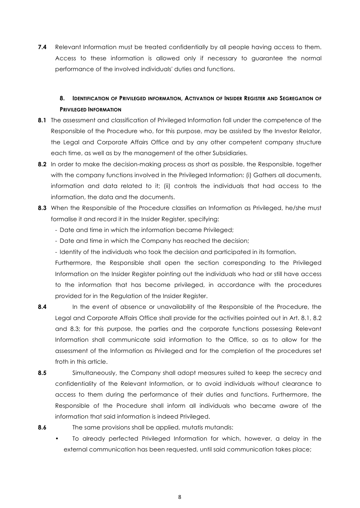**7.4** Relevant Information must be treated confidentially by all people having access to them. Access to these information is allowed only if necessary to guarantee the normal performance of the involved individuals' duties and functions.

# **8. IDENTIFICATION OF PRIVILEGED INFORMATION, ACTIVATION OF INSIDER REGISTER AND SEGREGATION OF PRIVILEGED INFORMATION**

- **8.1** The assessment and classification of Privileged Information fall under the competence of the Responsible of the Procedure who, for this purpose, may be assisted by the Investor Relator, the Legal and Corporate Affairs Office and by any other competent company structure each time, as well as by the management of the other Subsidiaries.
- **8.2** In order to make the decision-making process as short as possible, the Responsible, together with the company functions involved in the Privileged Information: (i) Gathers all documents, information and data related to it; (ii) controls the individuals that had access to the information, the data and the documents.
- **8.3** When the Responsible of the Procedure classifies an Information as Privileged, he/she must formalise it and record it in the Insider Register, specifying:
	- Date and time in which the information became Privileged;
	- Date and time in which the Company has reached the decision;
	- Identity of the individuals who took the decision and participated in its formation.

Furthermore, the Responsible shall open the section corresponding to the Privileged Information on the Insider Register pointing out the individuals who had or still have access to the information that has become privileged, in accordance with the procedures provided for in the Regulation of the Insider Register.

- **8.4** In the event of absence or unavailability of the Responsible of the Procedure, the Legal and Corporate Affairs Office shall provide for the activities pointed out in Art. 8.1, 8.2 and 8.3; for this purpose, the parties and the corporate functions possessing Relevant Information shall communicate said information to the Office, so as to allow for the assessment of the Information as Privileged and for the completion of the procedures set froth in this article.
- **8.5** Simultaneously, the Company shall adopt measures suited to keep the secrecy and confidentiality of the Relevant Information, or to avoid individuals without clearance to access to them during the performance of their duties and functions. Furthermore, the Responsible of the Procedure shall inform all individuals who became aware of the information that said information is indeed Privileged.
- 

**8.6** The same provisions shall be applied, mutatis mutandis:

• To already perfected Privileged Information for which, however, a delay in the external communication has been requested, until said communication takes place;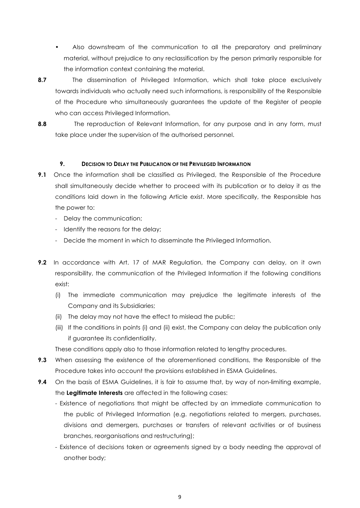- Also downstream of the communication to all the preparatory and preliminary material, without prejudice to any reclassification by the person primarily responsible for the information context containing the material.
- **8.7** The dissemination of Privileged Information, which shall take place exclusively towards individuals who actually need such informations, is responsibility of the Responsible of the Procedure who simultaneously guarantees the update of the Register of people who can access Privileged Information.
- 

**8.8** The reproduction of Relevant Information, for any purpose and in any form, must take place under the supervision of the authorised personnel.

# **9. DECISION TO DELAY THE PUBLICATION OF THE PRIVILEGED INFORMATION**

- **9.1** Once the information shall be classified as Privileged, the Responsible of the Procedure shall simultaneously decide whether to proceed with its publication or to delay it as the conditions laid down in the following Article exist. More specifically, the Responsible has the power to:
	- Delay the communication;
	- Identify the reasons for the delay;
	- Decide the moment in which to disseminate the Privileged Information.
- **9.2** In accordance with Art. 17 of MAR Regulation, the Company can delay, on it own responsibility, the communication of the Privileged Information if the following conditions exist:
	- (i) The immediate communication may prejudice the legitimate interests of the Company and its Subsidiaries;
	- (ii) The delay may not have the effect to mislead the public;
	- (iii) If the conditions in points (i) and (ii) exist, the Company can delay the publication only if guarantee its confidentiality.

These conditions apply also to those information related to lengthy procedures.

- **9.3** When assessing the existence of the aforementioned conditions, the Responsible of the Procedure takes into account the provisions established in ESMA Guidelines.
- **9.4** On the basis of ESMA Guidelines, it is fair to assume that, by way of non-limiting example, the **Legitimate Interests** are affected in the following cases:
	- Existence of negotiations that might be affected by an immediate communication to the public of Privileged Information (e.g. negotiations related to mergers, purchases, divisions and demergers, purchases or transfers of relevant activities or of business branches, reorganisations and restructuring);
	- Existence of decisions taken or agreements signed by a body needing the approval of another body;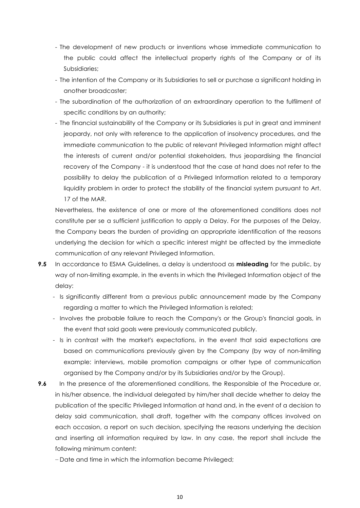- The development of new products or inventions whose immediate communication to the public could affect the intellectual property rights of the Company or of its Subsidiaries;
- The intention of the Company or its Subsidiaries to sell or purchase a significant holding in another broadcaster;
- The subordination of the authorization of an extraordinary operation to the fulfilment of specific conditions by an authority;
- The financial sustainability of the Company or its Subsidiaries is put in great and imminent jeopardy, not only with reference to the application of insolvency procedures, and the immediate communication to the public of relevant Privileged Information might affect the interests of current and/or potential stakeholders, thus jeopardising the financial recovery of the Company - it is understood that the case at hand does not refer to the possibility to delay the publication of a Privileged Information related to a temporary liquidity problem in order to protect the stability of the financial system pursuant to Art. 17 of the MAR.

Nevertheless, the existence of one or more of the aforementioned conditions does not constitute per se a sufficient justification to apply a Delay. For the purposes of the Delay, the Company bears the burden of providing an appropriate identification of the reasons underlying the decision for which a specific interest might be affected by the immediate communication of any relevant Privileged Information.

- **9.5** In accordance to ESMA Guidelines, a delay is understood as **misleading** for the public, by way of non-limiting example, in the events in which the Privileged Information object of the delay:
	- Is significantly different from a previous public announcement made by the Company regarding a matter to which the Privileged Information is related;
	- Involves the probable failure to reach the Company's or the Group's financial goals, in the event that said goals were previously communicated publicly.
	- Is in contrast with the market's expectations, in the event that said expectations are based on communications previously given by the Company (by way of non-limiting example: interviews, mobile promotion campaigns or other type of communication organised by the Company and/or by its Subsidiaries and/or by the Group).
- **9.6** In the presence of the aforementioned conditions, the Responsible of the Procedure or, in his/her absence, the individual delegated by him/her shall decide whether to delay the publication of the specific Privileged Information at hand and, in the event of a decision to delay said communication, shall draft, together with the company offices involved on each occasion, a report on such decision, specifying the reasons underlying the decision and inserting all information required by law. In any case, the report shall include the following minimum content:

− Date and time in which the information became Privileged;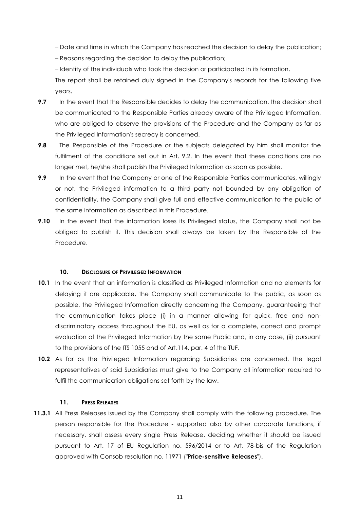− Date and time in which the Company has reached the decision to delay the publication;

− Reasons regarding the decision to delay the publication;

− Identity of the individuals who took the decision or participated in its formation.

The report shall be retained duly signed in the Company's records for the following five years.

- **9.7** In the event that the Responsible decides to delay the communication, the decision shall be communicated to the Responsible Parties already aware of the Privileged Information, who are obliged to observe the provisions of the Procedure and the Company as far as the Privileged Information's secrecy is concerned.
- **9.8** The Responsible of the Procedure or the subjects delegated by him shall monitor the fulfilment of the conditions set out in Art. 9.2. In the event that these conditions are no longer met, he/she shall publish the Privileged Information as soon as possible.
- **9.9** In the event that the Company or one of the Responsible Parties communicates, willingly or not, the Privileged information to a third party not bounded by any obligation of confidentiality, the Company shall give full and effective communication to the public of the same information as described in this Procedure.
- **9.10** In the event that the information loses its Privileged status, the Company shall not be obliged to publish it. This decision shall always be taken by the Responsible of the Procedure.

# **10. DISCLOSURE OF PRIVILEGED INFORMATION**

- **10.1** In the event that an information is classified as Privileged Information and no elements for delaying it are applicable, the Company shall communicate to the public, as soon as possible, the Privileged Information directly concerning the Company, guaranteeing that the communication takes place (i) in a manner allowing for quick, free and nondiscriminatory access throughout the EU, as well as for a complete, correct and prompt evaluation of the Privileged Information by the same Public and, in any case, (ii) pursuant to the provisions of the ITS 1055 and of Art.114, par. 4 of the TUF.
- **10.2** As far as the Privileged Information regarding Subsidiaries are concerned, the legal representatives of said Subsidiaries must give to the Company all information required to fulfil the communication obligations set forth by the law.

### **11. PRESS RELEASES**

**11.3.1** All Press Releases issued by the Company shall comply with the following procedure. The person responsible for the Procedure - supported also by other corporate functions, if necessary, shall assess every single Press Release, deciding whether it should be issued pursuant to Art. 17 of EU Regulation no. 596/2014 or to Art. 78-bis of the Regulation approved with Consob resolution no. 11971 ("**Price-sensitive Releases**").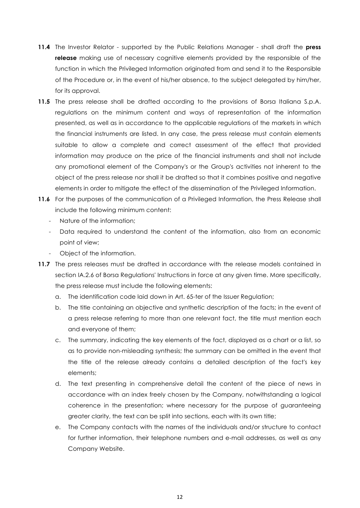- **11.4** The Investor Relator supported by the Public Relations Manager shall draft the **press release** making use of necessary cognitive elements provided by the responsible of the function in which the Privileged Information originated from and send it to the Responsible of the Procedure or, in the event of his/her absence, to the subject delegated by him/her, for its approval.
- **11.5** The press release shall be drafted according to the provisions of Borsa Italiana S.p.A. regulations on the minimum content and ways of representation of the information presented, as well as in accordance to the applicable regulations of the markets in which the financial instruments are listed. In any case, the press release must contain elements suitable to allow a complete and correct assessment of the effect that provided information may produce on the price of the financial instruments and shall not include any promotional element of the Company's or the Group's activities not inherent to the object of the press release nor shall it be drafted so that it combines positive and negative elements in order to mitigate the effect of the dissemination of the Privileged Information.
- **11.6** For the purposes of the communication of a Privileged Information, the Press Release shall include the following minimum content:
	- Nature of the information;
	- Data required to understand the content of the information, also from an economic point of view;
	- Object of the information.
- **11.7** The press releases must be drafted in accordance with the release models contained in section IA.2.6 of Borsa Regulations' Instructions in force at any given time. More specifically, the press release must include the following elements:
	- a. The identification code laid down in Art. 65-ter of the Issuer Regulation;
	- b. The title containing an objective and synthetic description of the facts; in the event of a press release referring to more than one relevant fact, the title must mention each and everyone of them;
	- c. The summary, indicating the key elements of the fact, displayed as a chart or a list, so as to provide non-misleading synthesis; the summary can be omitted in the event that the title of the release already contains a detailed description of the fact's key elements;
	- d. The text presenting in comprehensive detail the content of the piece of news in accordance with an index freely chosen by the Company, notwithstanding a logical coherence in the presentation; where necessary for the purpose of guaranteeing greater clarity, the text can be split into sections, each with its own title;
	- e. The Company contacts with the names of the individuals and/or structure to contact for further information, their telephone numbers and e-mail addresses, as well as any Company Website.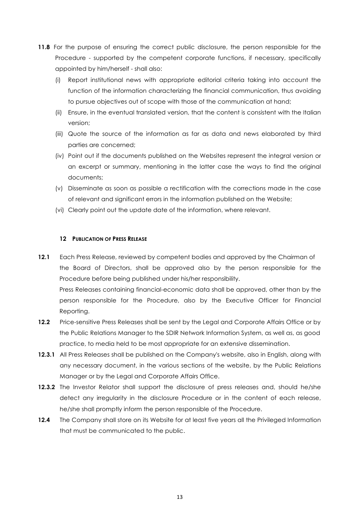- **11.8** For the purpose of ensuring the correct public disclosure, the person responsible for the Procedure - supported by the competent corporate functions, if necessary, specifically appointed by him/herself - shall also:
	- (i) Report institutional news with appropriate editorial criteria taking into account the function of the information characterizing the financial communication, thus avoiding to pursue objectives out of scope with those of the communication at hand;
	- (ii) Ensure, in the eventual translated version, that the content is consistent with the Italian version;
	- (iii) Quote the source of the information as far as data and news elaborated by third parties are concerned;
	- (iv) Point out if the documents published on the Websites represent the integral version or an excerpt or summary, mentioning in the latter case the ways to find the original documents;
	- (v) Disseminate as soon as possible a rectification with the corrections made in the case of relevant and significant errors in the information published on the Website;
	- (vi) Clearly point out the update date of the information, where relevant.

#### **12 PUBLICATION OF PRESS RELEASE**

**12.1** Each Press Release, reviewed by competent bodies and approved by the Chairman of the Board of Directors, shall be approved also by the person responsible for the Procedure before being published under his/her responsibility. Press Releases containing financial-economic data shall be approved, other than by the person responsible for the Procedure, also by the Executive Officer for Financial Reporting.

- 12.2 Price-sensitive Press Releases shall be sent by the Legal and Corporate Affairs Office or by the Public Relations Manager to the SDIR Network Information System, as well as, as good practice, to media held to be most appropriate for an extensive dissemination.
- **12.3.1** All Press Releases shall be published on the Company's website, also in English, along with any necessary document, in the various sections of the website, by the Public Relations Manager or by the Legal and Corporate Affairs Office.
- **12.3.2** The Investor Relator shall support the disclosure of press releases and, should he/she detect any irregularity in the disclosure Procedure or in the content of each release, he/she shall promptly inform the person responsible of the Procedure.
- **12.4** The Company shall store on its Website for at least five years all the Privileged Information that must be communicated to the public.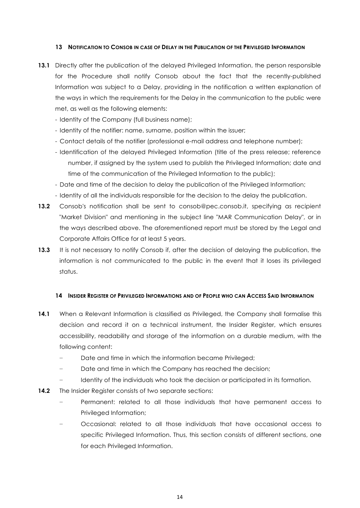### **13 NOTIFICATION TO CONSOB IN CASE OF DELAY IN THE PUBLICATION OF THE PRIVILEGED INFORMATION**

- **13.1** Directly after the publication of the delayed Privileged Information, the person responsible for the Procedure shall notify Consob about the fact that the recently-published Information was subject to a Delay, providing in the notification a written explanation of the ways in which the requirements for the Delay in the communication to the public were met, as well as the following elements:
	- Identity of the Company (full business name);
	- Identity of the notifier: name, surname, position within the issuer;
	- Contact details of the notifier (professional e-mail address and telephone number);
	- Identification of the delayed Privileged Information (title of the press release; reference number, if assigned by the system used to publish the Privileged Information; date and time of the communication of the Privileged Information to the public);
	- Date and time of the decision to delay the publication of the Privileged Information;
	- Identity of all the individuals responsible for the decision to the delay the publication.
- **13.2** Consob's notification shall be sent to consob@pec.consob.it, specifying as recipient "Market Division" and mentioning in the subject line "MAR Communication Delay", or in the ways described above. The aforementioned report must be stored by the Legal and Corporate Affairs Office for at least 5 years.
- 13.3 It is not necessary to notify Consob if, after the decision of delaying the publication, the information is not communicated to the public in the event that it loses its privileged status.

#### **14 INSIDER REGISTER OF PRIVILEGED INFORMATIONS AND OF PEOPLE WHO CAN ACCESS SAID INFORMATION**

- **14.1** When a Relevant Information is classified as Privileged, the Company shall formalise this decision and record it on a technical instrument, the Insider Register, which ensures accessibility, readability and storage of the information on a durable medium, with the following content:
	- Date and time in which the information became Privileged;
	- Date and time in which the Company has reached the decision;
	- Identity of the individuals who took the decision or participated in its formation.
- **14.2** The Insider Register consists of two separate sections:
	- Permanent: related to all those individuals that have permanent access to Privileged Information;
	- − Occasional: related to all those individuals that have occasional access to specific Privileged Information. Thus, this section consists of different sections, one for each Privileged Information.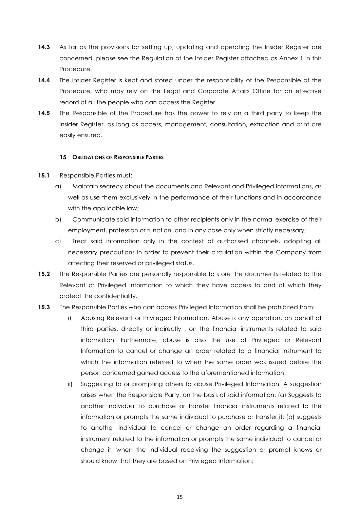- **14.3** As far as the provisions for setting up, updating and operating the Insider Register are concerned, please see the Regulation of the Insider Register attached as Annex 1 in this Procedure.
- **14.4** The Insider Register is kept and stored under the responsibility of the Responsible of the Procedure, who may rely on the Legal and Corporate Affairs Office for an effective record of all the people who can access the Register.
- **14.5** The Responsible of the Procedure has the power to rely on a third party to keep the Insider Register, as long as access, management, consultation, extraction and print are easily ensured.

#### **15 OBLIGATIONS OF RESPONSIBLE PARTIES**

- **15.1** Responsible Parties must:
	- a) Maintain secrecy about the documents and Relevant and Privileged Informations, as well as use them exclusively in the performance of their functions and in accordance with the applicable law;
	- b) Communicate said information to other recipients only in the normal exercise of their employment, profession or function, and in any case only when strictly necessary;
	- c) Treat said information only in the context of authorised channels, adopting all necessary precautions in order to prevent their circulation within the Company from affecting their reserved or privileged status.
- **15.2** The Responsible Parties are personally responsible to store the documents related to the Relevant or Privileged Information to which they have access to and of which they protect the confidentiality.

# **15.3** The Responsible Parties who can access Privileged Information shall be prohibited from:

- i) Abusing Relevant or Privileged Information. Abuse is any operation, on behalf of third parties, directly or indirectly , on the financial instruments related to said information. Furthermore, abuse is also the use of Privileged or Relevant Information to cancel or change an order related to a financial instrument to which the information referred to when the same order was issued before the person concerned gained access to the aforementioned information;
- ii) Suggesting to or prompting others to abuse Privileged Information. A suggestion arises when the Responsible Party, on the basis of said information: (a) Suggests to another individual to purchase or transfer financial instruments related to the information or prompts the same individual to purchase or transfer it; (b) suggests to another individual to cancel or change an order regarding a financial instrument related to the information or prompts the same individual to cancel or change it, when the individual receiving the suggestion or prompt knows or should know that they are based on Privileged Information;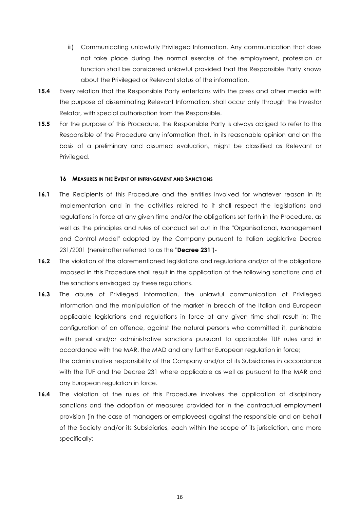- iii) Communicating unlawfully Privileged Information. Any communication that does not take place during the normal exercise of the employment, profession or function shall be considered unlawful provided that the Responsible Party knows about the Privileged or Relevant status of the information.
- **15.4** Every relation that the Responsible Party entertains with the press and other media with the purpose of disseminating Relevant Information, shall occur only through the Investor Relator, with special authorisation from the Responsible.
- **15.5** For the purpose of this Procedure, the Responsible Party is always obliged to refer to the Responsible of the Procedure any information that, in its reasonable opinion and on the basis of a preliminary and assumed evaluation, might be classified as Relevant or Privileged.

#### **16 MEASURES IN THE EVENT OF INFRINGEMENT AND SANCTIONS**

- 16.1 The Recipients of this Procedure and the entities involved for whatever reason in its implementation and in the activities related to it shall respect the legislations and regulations in force at any given time and/or the obligations set forth in the Procedure, as well as the principles and rules of conduct set out in the "Organisational, Management and Control Model" adopted by the Company pursuant to Italian Legislative Decree 231/2001 (hereinafter referred to as the "**Decree 231**")-
- **16.2** The violation of the aforementioned legislations and regulations and/or of the obligations imposed in this Procedure shall result in the application of the following sanctions and of the sanctions envisaged by these regulations.
- **16.3** The abuse of Privileged Information, the unlawful communication of Privileged Information and the manipulation of the market in breach of the Italian and European applicable legislations and regulations in force at any given time shall result in: The configuration of an offence, against the natural persons who committed it, punishable with penal and/or administrative sanctions pursuant to applicable TUF rules and in accordance with the MAR, the MAD and any further European regulation in force; The administrative responsibility of the Company and/or of its Subsidiaries in accordance with the TUF and the Decree 231 where applicable as well as pursuant to the MAR and any European regulation in force.
- **16.4** The violation of the rules of this Procedure involves the application of disciplinary sanctions and the adoption of measures provided for in the contractual employment provision (in the case of managers or employees) against the responsible and on behalf of the Society and/or its Subsidiaries, each within the scope of its jurisdiction, and more specifically: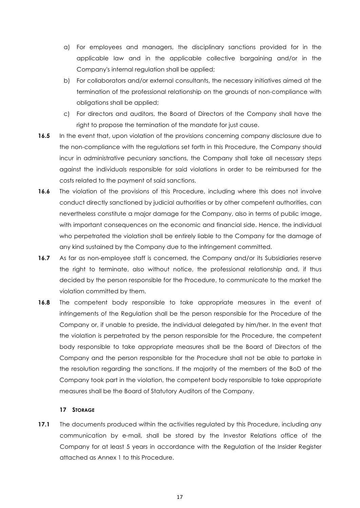- a) For employees and managers, the disciplinary sanctions provided for in the applicable law and in the applicable collective bargaining and/or in the Company's internal regulation shall be applied;
- b) For collaborators and/or external consultants, the necessary initiatives aimed at the termination of the professional relationship on the grounds of non-compliance with obligations shall be applied;
- c) For directors and auditors, the Board of Directors of the Company shall have the right to propose the termination of the mandate for just cause.
- **16.5** In the event that, upon violation of the provisions concerning company disclosure due to the non-compliance with the regulations set forth in this Procedure, the Company should incur in administrative pecuniary sanctions, the Company shall take all necessary steps against the individuals responsible for said violations in order to be reimbursed for the costs related to the payment of said sanctions.
- **16.6** The violation of the provisions of this Procedure, including where this does not involve conduct directly sanctioned by judicial authorities or by other competent authorities, can nevertheless constitute a major damage for the Company, also in terms of public image, with important consequences on the economic and financial side. Hence, the individual who perpetrated the violation shall be entirely liable to the Company for the damage of any kind sustained by the Company due to the infringement committed.
- **16.7** As far as non-employee staff is concerned, the Company and/or its Subsidiaries reserve the right to terminate, also without notice, the professional relationship and, if thus decided by the person responsible for the Procedure, to communicate to the market the violation committed by them.
- **16.8** The competent body responsible to take appropriate measures in the event of infringements of the Regulation shall be the person responsible for the Procedure of the Company or, if unable to preside, the individual delegated by him/her. In the event that the violation is perpetrated by the person responsible for the Procedure, the competent body responsible to take appropriate measures shall be the Board of Directors of the Company and the person responsible for the Procedure shall not be able to partake in the resolution regarding the sanctions. If the majority of the members of the BoD of the Company took part in the violation, the competent body responsible to take appropriate measures shall be the Board of Statutory Auditors of the Company.

#### **17 STORAGE**

**17.1** The documents produced within the activities regulated by this Procedure, including any communication by e-mail, shall be stored by the Investor Relations office of the Company for at least 5 years in accordance with the Regulation of the Insider Register attached as Annex 1 to this Procedure.